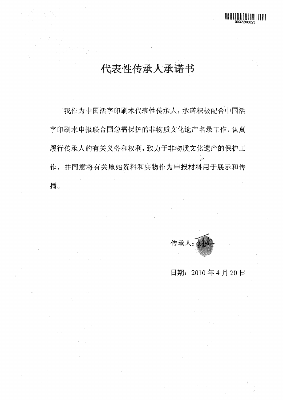我作为中国活字印刷术代表性传承人,承诺积极配合中国活 字印刷术申报联合国急需保护的非物质文化遗产名录工作,认真 履行传承人的有关义务和权利,致力于非物质文化遗产的保护工 作,并同意将有关原始资料和实物作为申报材料用于展示和传 播。

传承人: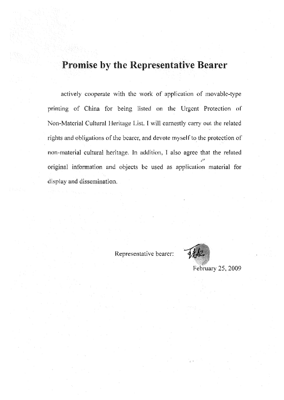actively cooperate with the work of application of movable-type printing of China for being listed on the Urgent Protection or Non-Material Cultural Heritage List. I will earnestly carry out the related rights and obligations of the bearer, and devote myself to the protection of non-material cultural heritage. In addition, I also agree that the related original information and objects be used as application material for display and dissemination..



February 25, 2009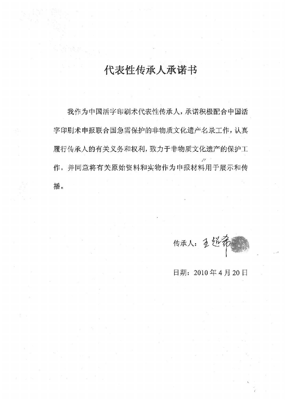我作为中国活字印刷术代表性传承人, 承诺积极配合中国活 字印刷术申报联合国急需保护的非物质文化遗产名录工作,认真 履行传承人的有关义务和权利,致力于非物质文化遗产的保护工 作,并同意将有关原始资料和实物作为申报材料用于展示和传 播¢

传承人: 1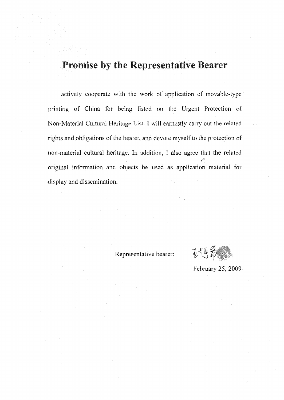actively cooperate with the work of application of movable-type printing of China for being listed on the Urgent Protection of Non-Material Cultural Heritage List. I will earnestly carry out the related rights and obligations of the bearer, and devote myself to the protection of non-material cultural heritage. In addition, I also agree that the related original information and objects be used as application material for display and dissemination.

易化

February 25, 2009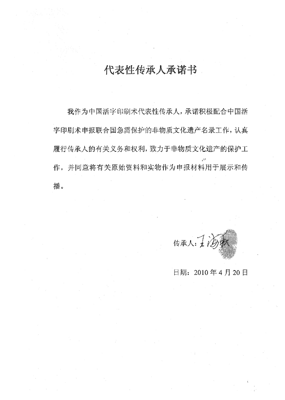我作为中罔活字印刷术代表性传愚人,承诺职极配合中自捂 字印刷术申报联合国急需保护的非物质文化遗产名录工作,认真 履行传承人的有关义务和权利,致力于非物质文化遗产的保护工 作,并同意将有关原始资料和实物作为申报材料用于展示和传 擂。

传承人:工法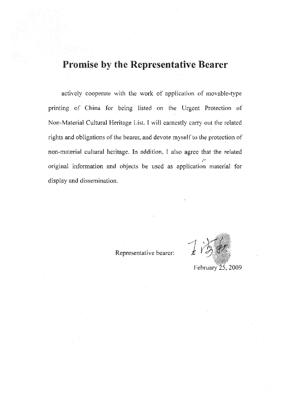actively cooperate with the work of application of movable-type printing of China for being listed on the Urgent Protection of Non-Material Cultural Heritage List. I will earnestly carry out the related rights and obligations of the bearer, and devote myself to the protection of<br>non-material cultural heritage. In addition, I also agree that the related original information and objects be used as application material for display and dissemination.

 $\int \limits_{\mathcal{L}}$ 

February 25, 2009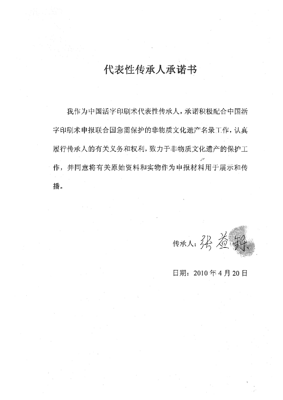我作为中国活字印刷术代表性传承人,承诺积极配合中国活 字印刷术申报联合国急需保护的非物质文化遗产名录工作,认真 腥行传雄人的有关义务相较剧,致力于非物质文化遗产的保护工 作,并同意将有关原始资料和实物作为申报材料用于展示和传 播。

传承人: 得為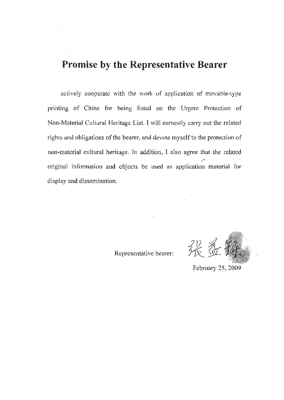actively cooperate with the work of application of movable-type printing of China for being listed on the Urgent Protection of Non-Material Cultural Heritage List. I will earnestly carry out the related rights and obligations of the bearer, and devote myself to the protection of non-material cultural heritage. In addition, I also agree that the related original information and objects be used as application material for display and dissemination.

Representative bearer:

张遵

February 25, 2009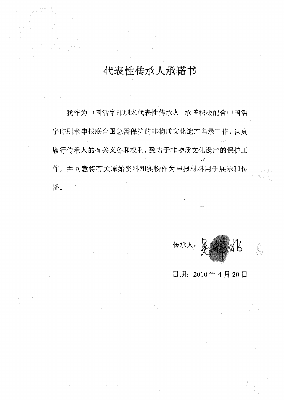我作为中国活字印刷术代表性传承人,承诺积极配合中国活 字印刷术申报联合国急需保护的非物质文化遗产名录工作,认真 履行传承人的有关义务和权利,致力于非物质文化遗产的保护工 . 作,并同意将有关原始资料和实物作为申报材料用于展示和传 播。

传承人: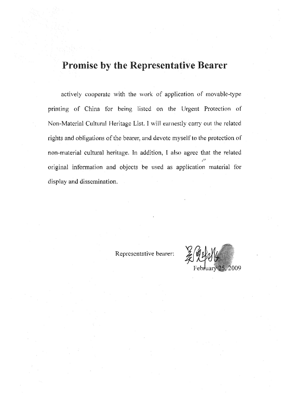actively cooperate with the work of application of movable-type printing of China for being listed on the Urgent Protection of Non-Material Cultural Heritage List. I will earnestly carry out the related rights and obligations of the bearer, and devote myself to the protection of non-material cultural heritage, In addition, I also agree that the related original information and objects be used as application material for display and dissemination.

2009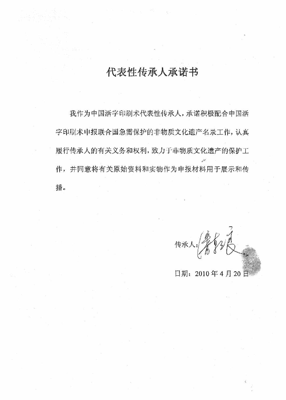我作为中国活字印刷术代表性传承人,承诺积极配合中国活 字印刷术申报联合国急需保护的非物质文化遗产名录工作,认真 履行传承人的有关义务和权利,致力于非物质文化遗产的保护工 作,并同意将有关原始资料和实物作为申报材料用于展示和传 播臼

传承人。《第七》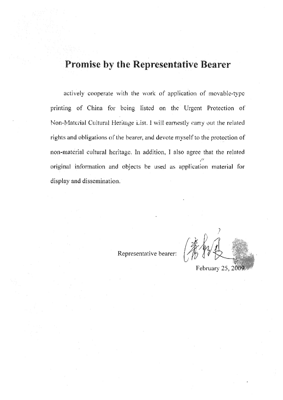actively cooperate with the work of application of movable-type printing of China for being listed on the Urgent Protection of Non-Material Cultural Heritage List. I will earnestly carry out the related rights and obligations of the bearer, and devote myself to the protection of non-material cultural heritage. In addition, J also agree that the related original infbrmation and objects be used as application material for display and dissemination.

Representative bearer:

February 25, 2009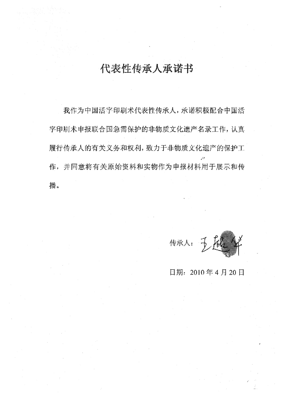我作为中国活字印刷术代表性传承人,承诺积极配合中国活 字印刷术申报联合国急需保护的非物质文化遗产名录工作,认真 履行传承人的有关义务和权利,致力于非物质文化遗产的保护工 巧, 作,并同意将有关原始资料和实物作为申报捋科用于展示和传 播。

传承人: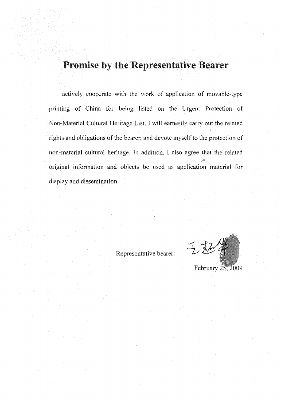actively cooperate with the work of application of movable-type printing of China for being listed on the Urgent Protection of Non-Material Cultural Heritage List. I will earnestly carry out the related rights and obligations of the bearer, and devote myself to the protection of non-material cultural heritage. In addition; I also agree that the related original information and objects be used as application material for display and dissemination,

February 25, 2009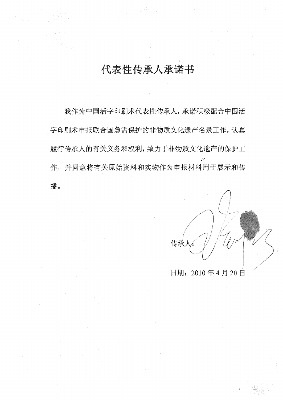我作为中国活字印刷术代表性传承人,承诺积极配合中国活 字印刷术申报联合国急需保护的非物质文化遗产名录工作,认真 履行传承人的有关义务和权利,致力于非物质文化遗产的保护工 作,并同意将有关原始资料和实物作为申报材料用于展示和传 播纱

传承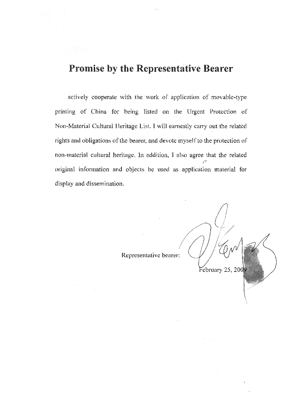actively cooperate with the work of application of movable-type printing of China for being listed on the Urgent Protection of Non-Material Cultural Heritage List. I will earnestly carry out the related rights and obligations of the bearer, and devote myself to the protection of non-material cultural heritage. In addition, I also agree that the related original information and objects be used as application material for display and dissemination.

Representative bearer:

February 25, 2009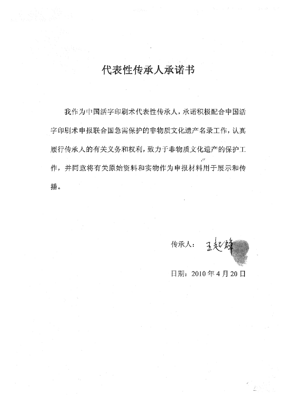我作为中国活字印刷术代表性传承人, 承诺积极配合中国活 字印刷术申报联合国急需保护的非物质文化遗产名录工作,认真 履行传承人的有关义务和权利, 致力于非物质文化遗产的保护工 并同意将有关原始资料和实物作为申报材料用于展示和传 擂。

传承人: 医起生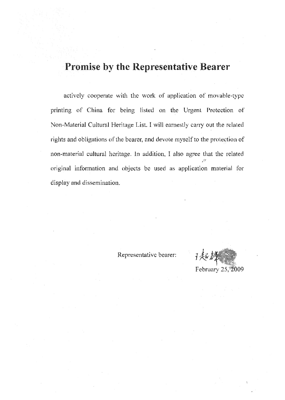actively cooperate with the work of application of movable-type printing of China for being listed on the Urgent Protection of Non-Material Cultural Heritage List. I will earnestly carry out the related rights and obligations of the bearer, and devote myself to the protection of non-material cultural heritage. In addition, I also agree that the related original information and objects be used as application material for display and dissemination.

それん February 25, 2009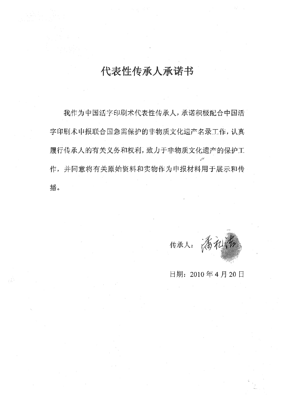我作为中国活字印刷术代表性传承人,承诺积极配合中国活 字印刷术申报联合国急需保护的非物质文化遗产名录工作,认真 履行传承人的有关义务和权利, 致力于非物质文化遗产的保护工 g 作,并同意将有关原始资料和实物作为申报材料用于展示和传 播。

传承人:满机稀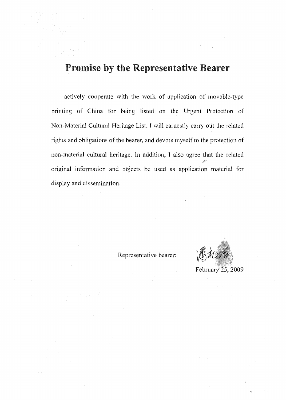actively cooperate with the work of application of movable-type printing of China for being listed on the Urgent Protection of Non-Material Cultural Heritage List. I will earnestly carry out the related rights and obligations of the bearer, and devote myself to the protection of non-material cultural heritage. In addition, I also agree that the related original information and objects be used as application material for display and dissemination.

February 25, 2009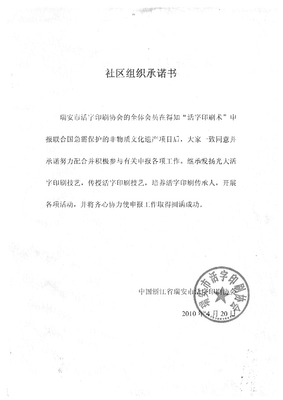# 社区组织承诺书

瑞安市活字印刷协会的全体会员在得知"活字印刷术"中 报联合国急需保护的非物质文化遗产项目后,大家一致同意并 承诺努力配合并积极参与有关申报各项工作。继承发扬光大活 字印刷技艺, 传授活字印刷技艺, 培养活字印刷传承人, 开展 各项活动,并将齐心协力使申报工作取得圆满成功。

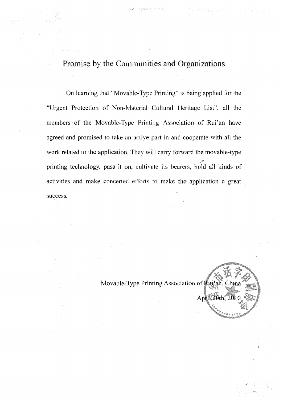Promise by the Communities and Organizations

On learning that "Movable-Type Printing" is being applied for the "Urgent Protection of Non-Material Cultural Heritage List", all the members of the Movable-Type Printing Association of Rui'an have agreed and promised to take an active part in and cooperate with all the work related to the application. They will carry forward the movable-type printing technology, pass it on, cultivate its bearers, hold all kinds of activities and make concerted efforts to make the' application a great success.

Movable-Type Printing Association of Ruji'an, Chin April 20th, 20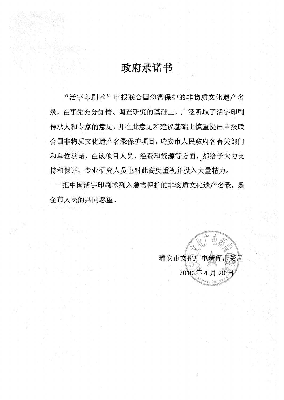# 政府承诺书

"活字印刷术"申报联合国急需保护的非物质文化遗产名 在事先充分知情、调查研究的基础上,广泛听取了活字印刷 传承人和专家的意见,并在此意见和建议基础上慎重提出申报联 合国非物质文化遗产名录保护项目。瑞安市人民政府各有关部门 和单位承诺,在该项目人员、经费和资源等方面,都给予大力支 持和保证 专业研究人员也对此高度重视并投入大量精力。

把中国活字印刷术列入急需保护的非物质文化遗产名录,是 全市人民的共同愿望。

> 瑞安市文化广电新闻出版局 2010年4月20